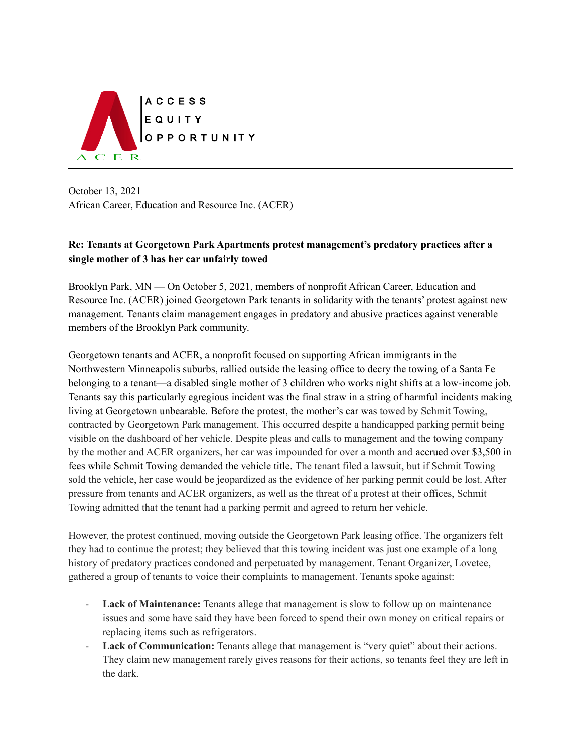

October 13, 2021 African Career, Education and Resource Inc. (ACER)

## **Re: Tenants at Georgetown Park Apartments protest management's predatory practices after a single mother of 3 has her car unfairly towed**

Brooklyn Park, MN — On October 5, 2021, members of nonprofit African Career, Education and Resource Inc. (ACER) joined Georgetown Park tenants in solidarity with the tenants' protest against new management. Tenants claim management engages in predatory and abusive practices against venerable members of the Brooklyn Park community.

Georgetown tenants and ACER, a nonprofit focused on supporting African immigrants in the Northwestern Minneapolis suburbs, rallied outside the leasing office to decry the towing of a Santa Fe belonging to a tenant—a disabled single mother of 3 children who works night shifts at a low-income job. Tenants say this particularly egregious incident was the final straw in a string of harmful incidents making living at Georgetown unbearable. Before the protest, the mother's car was towed by Schmit Towing, contracted by Georgetown Park management. This occurred despite a handicapped parking permit being visible on the dashboard of her vehicle. Despite pleas and calls to management and the towing company by the mother and ACER organizers, her car was impounded for over a month and accrued over \$3,500 in fees while Schmit Towing demanded the vehicle title. The tenant filed a lawsuit, but if Schmit Towing sold the vehicle, her case would be jeopardized as the evidence of her parking permit could be lost. After pressure from tenants and ACER organizers, as well as the threat of a protest at their offices, Schmit Towing admitted that the tenant had a parking permit and agreed to return her vehicle.

However, the protest continued, moving outside the Georgetown Park leasing office. The organizers felt they had to continue the protest; they believed that this towing incident was just one example of a long history of predatory practices condoned and perpetuated by management. Tenant Organizer, Lovetee, gathered a group of tenants to voice their complaints to management. Tenants spoke against:

- **Lack of Maintenance:** Tenants allege that management is slow to follow up on maintenance issues and some have said they have been forced to spend their own money on critical repairs or replacing items such as refrigerators.
- **Lack of Communication:** Tenants allege that management is "very quiet" about their actions. They claim new management rarely gives reasons for their actions, so tenants feel they are left in the dark.